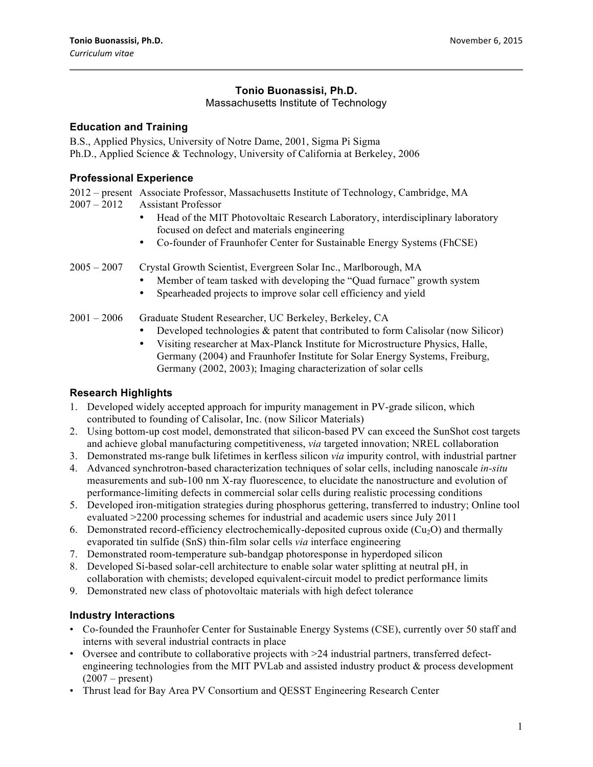# **Tonio Buonassisi, Ph.D.**

### Massachusetts Institute of Technology

### **Education and Training**

B.S., Applied Physics, University of Notre Dame, 2001, Sigma Pi Sigma Ph.D., Applied Science & Technology, University of California at Berkeley, 2006

## **Professional Experience**

2012 – present Associate Professor, Massachusetts Institute of Technology, Cambridge, MA Assistant Professor

- Head of the MIT Photovoltaic Research Laboratory, interdisciplinary laboratory focused on defect and materials engineering
- Co-founder of Fraunhofer Center for Sustainable Energy Systems (FhCSE)

2005 – 2007 Crystal Growth Scientist, Evergreen Solar Inc., Marlborough, MA

- Member of team tasked with developing the "Quad furnace" growth system
- Spearheaded projects to improve solar cell efficiency and yield
- 2001 2006 Graduate Student Researcher, UC Berkeley, Berkeley, CA
	- Developed technologies & patent that contributed to form Calisolar (now Silicor)
	- Visiting researcher at Max-Planck Institute for Microstructure Physics, Halle, Germany (2004) and Fraunhofer Institute for Solar Energy Systems, Freiburg, Germany (2002, 2003); Imaging characterization of solar cells

## **Research Highlights**

- 1. Developed widely accepted approach for impurity management in PV-grade silicon, which contributed to founding of Calisolar, Inc. (now Silicor Materials)
- 2. Using bottom-up cost model, demonstrated that silicon-based PV can exceed the SunShot cost targets and achieve global manufacturing competitiveness, *via* targeted innovation; NREL collaboration
- 3. Demonstrated ms-range bulk lifetimes in kerfless silicon *via* impurity control, with industrial partner
- 4. Advanced synchrotron-based characterization techniques of solar cells, including nanoscale *in-situ* measurements and sub-100 nm X-ray fluorescence, to elucidate the nanostructure and evolution of performance-limiting defects in commercial solar cells during realistic processing conditions
- 5. Developed iron-mitigation strategies during phosphorus gettering, transferred to industry; Online tool evaluated >2200 processing schemes for industrial and academic users since July 2011
- 6. Demonstrated record-efficiency electrochemically-deposited cuprous oxide  $(Cu_2O)$  and thermally evaporated tin sulfide (SnS) thin-film solar cells *via* interface engineering
- 7. Demonstrated room-temperature sub-bandgap photoresponse in hyperdoped silicon
- 8. Developed Si-based solar-cell architecture to enable solar water splitting at neutral pH, in collaboration with chemists; developed equivalent-circuit model to predict performance limits
- 9. Demonstrated new class of photovoltaic materials with high defect tolerance

## **Industry Interactions**

- Co-founded the Fraunhofer Center for Sustainable Energy Systems (CSE), currently over 50 staff and interns with several industrial contracts in place
- Oversee and contribute to collaborative projects with >24 industrial partners, transferred defectengineering technologies from the MIT PVLab and assisted industry product & process development  $(2007 - \text{present})$
- Thrust lead for Bay Area PV Consortium and QESST Engineering Research Center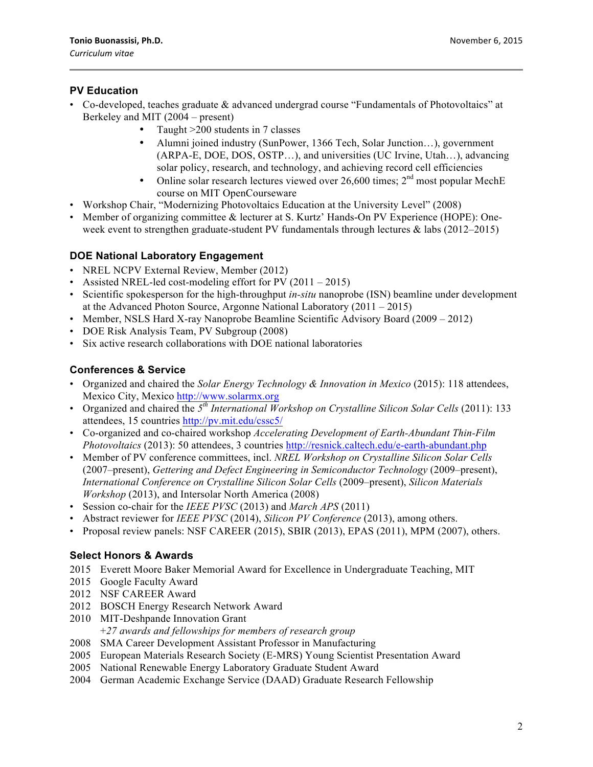## **PV Education**

- Co-developed, teaches graduate & advanced undergrad course "Fundamentals of Photovoltaics" at Berkeley and MIT (2004 – present)
	- Taught >200 students in 7 classes
	- Alumni joined industry (SunPower, 1366 Tech, Solar Junction…), government (ARPA-E, DOE, DOS, OSTP…), and universities (UC Irvine, Utah…), advancing solar policy, research, and technology, and achieving record cell efficiencies
	- Online solar research lectures viewed over 26,600 times;  $2<sup>nd</sup>$  most popular MechE course on MIT OpenCourseware
- Workshop Chair, "Modernizing Photovoltaics Education at the University Level" (2008)
- Member of organizing committee & lecturer at S. Kurtz' Hands-On PV Experience (HOPE): Oneweek event to strengthen graduate-student PV fundamentals through lectures & labs (2012–2015)

### **DOE National Laboratory Engagement**

- NREL NCPV External Review, Member (2012)
- Assisted NREL-led cost-modeling effort for PV (2011 2015)
- Scientific spokesperson for the high-throughput *in-situ* nanoprobe (ISN) beamline under development at the Advanced Photon Source, Argonne National Laboratory (2011 – 2015)
- Member, NSLS Hard X-ray Nanoprobe Beamline Scientific Advisory Board (2009 2012)
- DOE Risk Analysis Team, PV Subgroup (2008)
- Six active research collaborations with DOE national laboratories

### **Conferences & Service**

- Organized and chaired the *Solar Energy Technology & Innovation in Mexico* (2015): 118 attendees, Mexico City, Mexico http://www.solarmx.org
- Organized and chaired the *5th International Workshop on Crystalline Silicon Solar Cells* (2011): 133 attendees, 15 countries http://pv.mit.edu/cssc5/
- Co-organized and co-chaired workshop *Accelerating Development of Earth-Abundant Thin-Film Photovoltaics* (2013): 50 attendees, 3 countries http://resnick.caltech.edu/e-earth-abundant.php
- Member of PV conference committees, incl. *NREL Workshop on Crystalline Silicon Solar Cells* (2007–present), *Gettering and Defect Engineering in Semiconductor Technology* (2009–present), *International Conference on Crystalline Silicon Solar Cells* (2009–present), *Silicon Materials Workshop* (2013), and Intersolar North America (2008)
- Session co-chair for the *IEEE PVSC* (2013) and *March APS* (2011)
- Abstract reviewer for *IEEE PVSC* (2014), *Silicon PV Conference* (2013), among others.
- Proposal review panels: NSF CAREER (2015), SBIR (2013), EPAS (2011), MPM (2007), others.

### **Select Honors & Awards**

- 2015 Everett Moore Baker Memorial Award for Excellence in Undergraduate Teaching, MIT
- 2015 Google Faculty Award
- 2012 NSF CAREER Award
- 2012 BOSCH Energy Research Network Award
- 2010 MIT-Deshpande Innovation Grant +*27 awards and fellowships for members of research group*
- 2008 SMA Career Development Assistant Professor in Manufacturing
- 2005 European Materials Research Society (E-MRS) Young Scientist Presentation Award
- 2005 National Renewable Energy Laboratory Graduate Student Award
- 2004 German Academic Exchange Service (DAAD) Graduate Research Fellowship